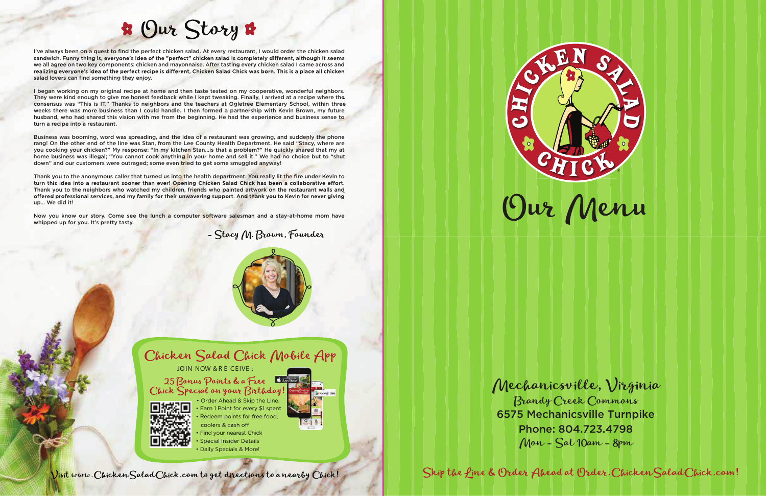



Visit www. Chicken Salad Chick.com to get directions to a nearby Chick!

# **B** Our Story &

I've always been on a quest to find the perfect chicken salad. At every restaurant, I would order the chicken salad sandwich. Funny thing is, everyone's idea of the "perfect" chicken salad is completely different, although it seems we all agree on two key components: chicken and mayonnaise. After tasting every chicken salad I came across and realizing everyone's idea of the perfect recipe is different, Chicken Salad Chick was born. This is a place all chicken salad lovers can find something they enjoy.

I began working on my original recipe at home and then taste tested on my cooperative, wonderful neighbors. They were kind enough to give me honest feedback while I kept tweaking. Finally, I arrived at a recipe where the consensus was "This is IT." Thanks to neighbors and the teachers at Ogletree Elementary School, within three weeks there was more business than I could handle. I then formed a partnership with Kevin Brown, my future husband, who had shared this vision with me from the beginning. He had the experience and business sense to turn a recipe into a restaurant.

Thank you to the anonymous caller that turned us into the health department. You really lit the fire under Kevin to turn this idea into a restaurant sooner than ever! Opening Chicken Salad Chick has been a collaborative effort. Thank you to the neighbors who watched my children, friends who painted artwork on the restaurant walls and offered professional services, and my family for their unwavering support. And thank you to Kevin for never giving up… We did it!

Business was booming, word was spreading, and the idea of a restaurant was growing, and suddenly the phone rang! On the other end of the line was Stan, from the Lee County Health Department. He said "Stacy, where are you cooking your chicken?" My response: "In my kitchen Stan…is that a problem?" He quickly shared that my at home business was illegal; "You cannot cook anything in your home and sell it." We had no choice but to "shut down" and our customers were outraged; some even tried to get some smuggled anyway!

Now you know our story. Come see the lunch a computer software salesman and a stay-at-home mom have whipped up for you. It's pretty tasty.



Mechanicsville, Virginia Brandy Creek Commons 6575 Mechanicsville Turnpike Phone: 804.723.4798

Mon - Sat 10am - 8pm

Skip the fine & Order Ahead at Order. Chicken Salad Chick.com!